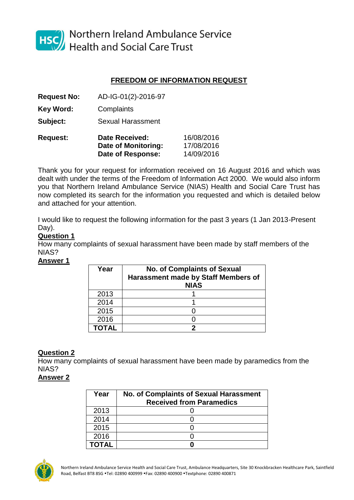

HSC Northern Ireland Ambulance Service<br>Health and Social Care Trust

# **FREEDOM OF INFORMATION REQUEST**

**Request No:** AD-IG-01(2)-2016-97

**Key Word:** Complaints

**Subject:** Sexual Harassment

| <b>Request:</b> | <b>Date Received:</b> | 16/08/2016 |  |  |
|-----------------|-----------------------|------------|--|--|
|                 | Date of Monitoring:   | 17/08/2016 |  |  |
|                 | Date of Response:     | 14/09/2016 |  |  |

Thank you for your request for information received on 16 August 2016 and which was dealt with under the terms of the Freedom of Information Act 2000. We would also inform you that Northern Ireland Ambulance Service (NIAS) Health and Social Care Trust has now completed its search for the information you requested and which is detailed below and attached for your attention.

I would like to request the following information for the past 3 years (1 Jan 2013-Present Day).

# **Question 1**

How many complaints of sexual harassment have been made by staff members of the NIAS?

### **Answer 1**

| Year         | <b>No. of Complaints of Sexual</b><br>Harassment made by Staff Members of<br><b>NIAS</b> |
|--------------|------------------------------------------------------------------------------------------|
| 2013         |                                                                                          |
| 2014         |                                                                                          |
| 2015         |                                                                                          |
| 2016         |                                                                                          |
| <b>TOTAI</b> |                                                                                          |

## **Question 2**

How many complaints of sexual harassment have been made by paramedics from the NIAS?

## **Answer 2**

| Year  | <b>No. of Complaints of Sexual Harassment</b><br><b>Received from Paramedics</b> |
|-------|----------------------------------------------------------------------------------|
| 2013  |                                                                                  |
| 2014  |                                                                                  |
| 2015  |                                                                                  |
| 2016  |                                                                                  |
| ΤΩΤΔΙ |                                                                                  |



Northern Ireland Ambulance Service Health and Social Care Trust, Ambulance Headquarters, Site 30 Knockbracken Healthcare Park, Saintfield Road, Belfast BT8 8SG .Tel: 02890 400999 .Fax: 02890 400900 .Textphone: 02890 400871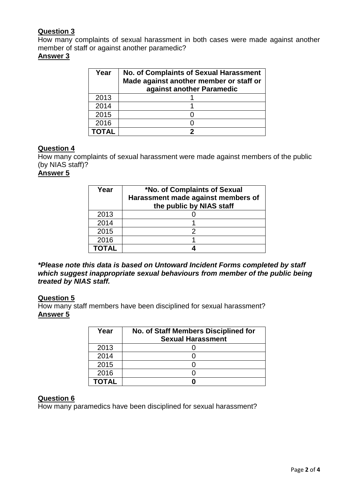# **Question 3**

How many complaints of sexual harassment in both cases were made against another member of staff or against another paramedic?

### **Answer 3**

| Year | <b>No. of Complaints of Sexual Harassment</b><br>Made against another member or staff or<br>against another Paramedic |  |  |
|------|-----------------------------------------------------------------------------------------------------------------------|--|--|
| 2013 |                                                                                                                       |  |  |
| 2014 |                                                                                                                       |  |  |
| 2015 |                                                                                                                       |  |  |
| 2016 |                                                                                                                       |  |  |
|      |                                                                                                                       |  |  |

## **Question 4**

How many complaints of sexual harassment were made against members of the public (by NIAS staff)?

### **Answer 5**

| Year  | *No. of Complaints of Sexual<br>Harassment made against members of<br>the public by NIAS staff |
|-------|------------------------------------------------------------------------------------------------|
| 2013  |                                                                                                |
| 2014  |                                                                                                |
| 2015  | 2                                                                                              |
| 2016  |                                                                                                |
| ΤΟΤΑΙ |                                                                                                |

*\*Please note this data is based on Untoward Incident Forms completed by staff which suggest inappropriate sexual behaviours from member of the public being treated by NIAS staff.*

### **Question 5**

How many staff members have been disciplined for sexual harassment? **Answer 5**

| Year         | No. of Staff Members Disciplined for<br><b>Sexual Harassment</b> |
|--------------|------------------------------------------------------------------|
| 2013         |                                                                  |
| 2014         |                                                                  |
| 2015         |                                                                  |
| 2016         |                                                                  |
| <b>TOTAL</b> |                                                                  |

### **Question 6**

How many paramedics have been disciplined for sexual harassment?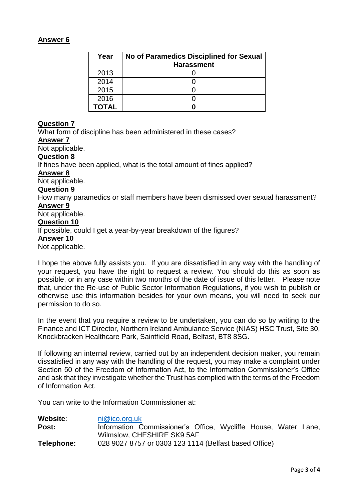### **Answer 6**

| Year         | <b>No of Paramedics Disciplined for Sexual</b> |  |  |
|--------------|------------------------------------------------|--|--|
|              | <b>Harassment</b>                              |  |  |
| 2013         |                                                |  |  |
| 2014         |                                                |  |  |
| 2015         |                                                |  |  |
| 2016         |                                                |  |  |
| <b>TOTAL</b> |                                                |  |  |

## **Question 7**

What form of discipline has been administered in these cases? **Answer 7**

Not applicable.

#### **Question 8**

If fines have been applied, what is the total amount of fines applied?

#### **Answer 8**

Not applicable.

#### **Question 9**

How many paramedics or staff members have been dismissed over sexual harassment? **Answer 9**

Not applicable.

# **Question 10**

If possible, could I get a year-by-year breakdown of the figures?

#### **Answer 10**

Not applicable.

I hope the above fully assists you. If you are dissatisfied in any way with the handling of your request, you have the right to request a review. You should do this as soon as possible, or in any case within two months of the date of issue of this letter. Please note that, under the Re-use of Public Sector Information Regulations, if you wish to publish or otherwise use this information besides for your own means, you will need to seek our permission to do so.

In the event that you require a review to be undertaken, you can do so by writing to the Finance and ICT Director, Northern Ireland Ambulance Service (NIAS) HSC Trust, Site 30, Knockbracken Healthcare Park, Saintfield Road, Belfast, BT8 8SG.

If following an internal review, carried out by an independent decision maker, you remain dissatisfied in any way with the handling of the request, you may make a complaint under Section 50 of the Freedom of Information Act, to the Information Commissioner's Office and ask that they investigate whether the Trust has complied with the terms of the Freedom of Information Act.

You can write to the Information Commissioner at:

| Website:   | ni@ico.org.uk              |                                                                |  |  |  |  |  |
|------------|----------------------------|----------------------------------------------------------------|--|--|--|--|--|
| Post:      |                            | Information Commissioner's Office, Wycliffe House, Water Lane, |  |  |  |  |  |
|            | Wilmslow, CHESHIRE SK9 5AF |                                                                |  |  |  |  |  |
| Telephone: |                            | 028 9027 8757 or 0303 123 1114 (Belfast based Office)          |  |  |  |  |  |